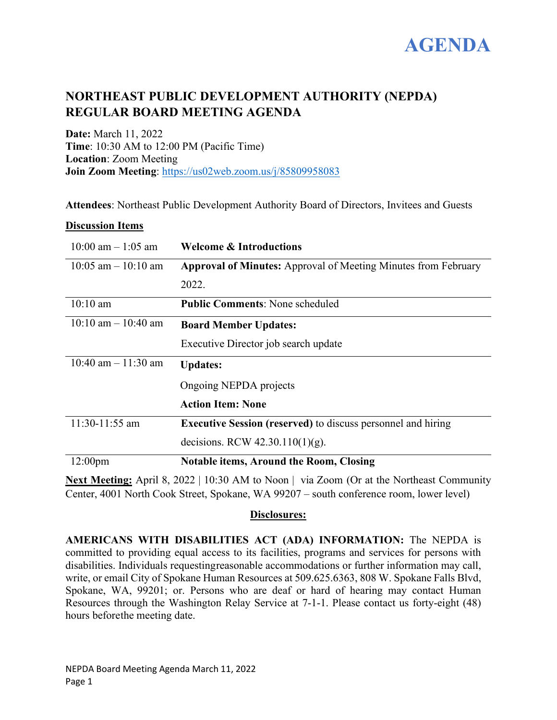

# **NORTHEAST PUBLIC DEVELOPMENT AUTHORITY (NEPDA) REGULAR BOARD MEETING AGENDA**

**Date:** March 11, 2022 **Time**: 10:30 AM to 12:00 PM (Pacific Time) **Location**: Zoom Meeting **Join Zoom Meeting**:<https://us02web.zoom.us/j/85809958083>

**Attendees**: Northeast Public Development Authority Board of Directors, Invitees and Guests

# **Discussion Items**

| $10:00$ am $-1:05$ am   | <b>Welcome &amp; Introductions</b>                                    |
|-------------------------|-----------------------------------------------------------------------|
| $10:05$ am $-10:10$ am  | <b>Approval of Minutes:</b> Approval of Meeting Minutes from February |
|                         | 2022.                                                                 |
| $10:10 \text{ am}$      | <b>Public Comments: None scheduled</b>                                |
| $10:10$ am $- 10:40$ am | <b>Board Member Updates:</b>                                          |
|                         | Executive Director job search update                                  |
| 10:40 am $- 11:30$ am   | <b>Updates:</b>                                                       |
|                         | Ongoing NEPDA projects                                                |
|                         | <b>Action Item: None</b>                                              |
| 11:30-11:55 am          | <b>Executive Session (reserved)</b> to discuss personnel and hiring   |
|                         | decisions. RCW $42.30.110(1)(g)$ .                                    |
| 12:00 <sub>pm</sub>     | <b>Notable items, Around the Room, Closing</b>                        |

**Next Meeting:** April 8, 2022 | 10:30 AM to Noon | via Zoom (Or at the Northeast Community Center, 4001 North Cook Street, Spokane, WA 99207 – south conference room, lower level)

# **Disclosures:**

**AMERICANS WITH DISABILITIES ACT (ADA) INFORMATION:** The NEPDA is committed to providing equal access to its facilities, programs and services for persons with disabilities. Individuals requestingreasonable accommodations or further information may call, write, or email City of Spokane Human Resources at 509.625.6363, 808 W. Spokane Falls Blvd, Spokane, WA, 99201; or. Persons who are deaf or hard of hearing may contact Human Resources through the Washington Relay Service at 7-1-1. Please contact us forty-eight (48) hours beforethe meeting date.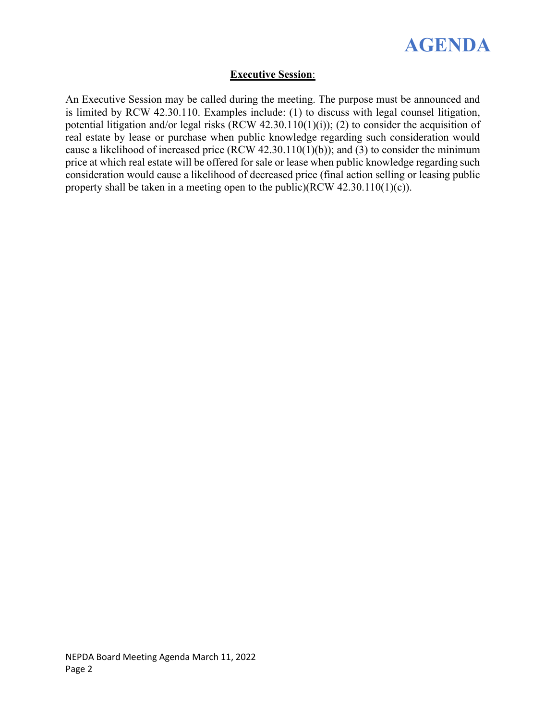

# **Executive Session**:

An Executive Session may be called during the meeting. The purpose must be announced and is limited by RCW 42.30.110. Examples include: (1) to discuss with legal counsel litigation, potential litigation and/or legal risks (RCW 42.30.110(1)(i)); (2) to consider the acquisition of real estate by lease or purchase when public knowledge regarding such consideration would cause a likelihood of increased price (RCW 42.30.110(1)(b)); and (3) to consider the minimum price at which real estate will be offered for sale or lease when public knowledge regarding such consideration would cause a likelihood of decreased price (final action selling or leasing public property shall be taken in a meeting open to the public)(RCW 42.30.110(1)(c)).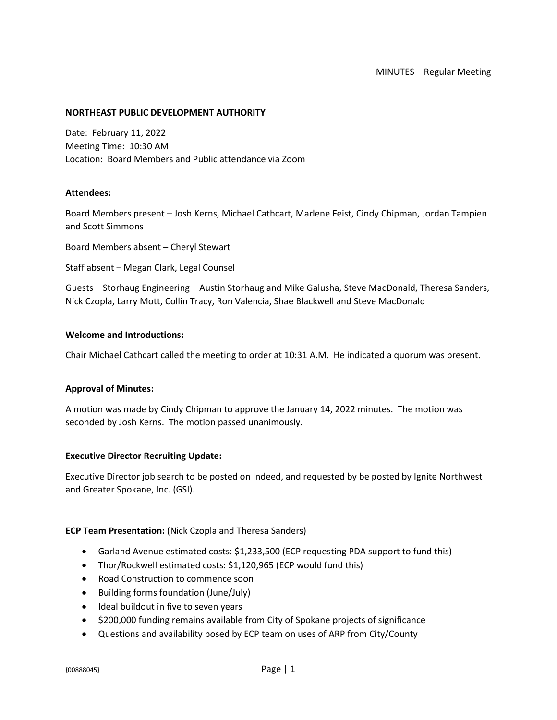#### MINUTES – Regular Meeting

#### **NORTHEAST PUBLIC DEVELOPMENT AUTHORITY**

Date: February 11, 2022 Meeting Time: 10:30 AM Location: Board Members and Public attendance via Zoom

#### **Attendees:**

Board Members present – Josh Kerns, Michael Cathcart, Marlene Feist, Cindy Chipman, Jordan Tampien and Scott Simmons

Board Members absent – Cheryl Stewart

Staff absent – Megan Clark, Legal Counsel

Guests – Storhaug Engineering – Austin Storhaug and Mike Galusha, Steve MacDonald, Theresa Sanders, Nick Czopla, Larry Mott, Collin Tracy, Ron Valencia, Shae Blackwell and Steve MacDonald

## **Welcome and Introductions:**

Chair Michael Cathcart called the meeting to order at 10:31 A.M. He indicated a quorum was present.

#### **Approval of Minutes:**

A motion was made by Cindy Chipman to approve the January 14, 2022 minutes. The motion was seconded by Josh Kerns. The motion passed unanimously.

#### **Executive Director Recruiting Update:**

Executive Director job search to be posted on Indeed, and requested by be posted by Ignite Northwest and Greater Spokane, Inc. (GSI).

## **ECP Team Presentation:** (Nick Czopla and Theresa Sanders)

- Garland Avenue estimated costs: \$1,233,500 (ECP requesting PDA support to fund this)
- Thor/Rockwell estimated costs: \$1,120,965 (ECP would fund this)
- Road Construction to commence soon
- Building forms foundation (June/July)
- Ideal buildout in five to seven years
- \$200,000 funding remains available from City of Spokane projects of significance
- Questions and availability posed by ECP team on uses of ARP from City/County